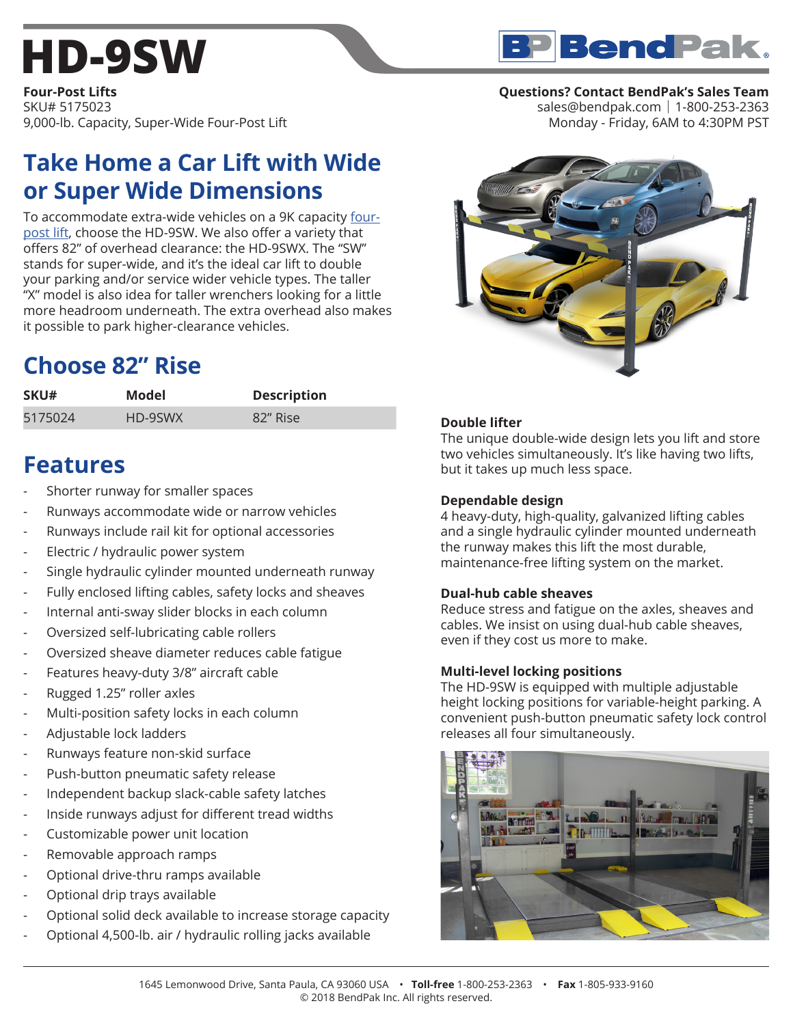## **[HD-9SW](https://www.bendpak.com/car-lifts/four-post-lifts/hd-9sw/)**

**BP Bend Pak.** 

**Four-Post Lifts** SKU# 5175023 9,000-lb. Capacity, Super-Wide Four-Post Lift

### **Take Home a Car Lift with Wide or Super Wide Dimensions**

To accommodate extra-wide vehicles on a 9K capacity [four](https://www.bendpak.com/car-lifts/four-post-lifts/)[post lift](https://www.bendpak.com/car-lifts/four-post-lifts/), choose the HD-9SW. We also offer a variety that offers 82" of overhead clearance: the HD-9SWX. The "SW" stands for super-wide, and it's the ideal car lift to double your parking and/or service wider vehicle types. The taller "X" model is also idea for taller wrenchers looking for a little more headroom underneath. The extra overhead also makes it possible to park higher-clearance vehicles.

## **Choose 82" Rise**

| SKU#    | Model   | <b>Description</b> |
|---------|---------|--------------------|
| 5175024 | HD-9SWX | 82" Rise           |

## **Features**

- Shorter runway for smaller spaces
- Runways accommodate wide or narrow vehicles
- Runways include rail kit for optional accessories
- Electric / hydraulic power system
- Single hydraulic cylinder mounted underneath runway
- Fully enclosed lifting cables, safety locks and sheaves
- Internal anti-sway slider blocks in each column
- Oversized self-lubricating cable rollers
- Oversized sheave diameter reduces cable fatigue
- Features heavy-duty 3/8" aircraft cable
- Rugged 1.25" roller axles
- Multi-position safety locks in each column
- Adjustable lock ladders
- Runways feature non-skid surface
- Push-button pneumatic safety release
- Independent backup slack-cable safety latches
- Inside runways adjust for different tread widths
- Customizable power unit location
- Removable approach ramps
- Optional drive-thru ramps available
- Optional drip trays available
- Optional solid deck available to increase storage capacity
- Optional 4,500-lb. air / hydraulic rolling jacks available

### **Questions? Contact BendPak's Sales Team**

sales@bendpak.com | 1-800-253-2363 Monday - Friday, 6AM to 4:30PM PST



#### **Double lifter**

The unique double-wide design lets you lift and store two vehicles simultaneously. It's like having two lifts, but it takes up much less space.

#### **Dependable design**

4 heavy-duty, high-quality, galvanized lifting cables and a single hydraulic cylinder mounted underneath the runway makes this lift the most durable, maintenance-free lifting system on the market.

#### **Dual-hub cable sheaves**

Reduce stress and fatigue on the axles, sheaves and cables. We insist on using dual-hub cable sheaves, even if they cost us more to make.

#### **Multi-level locking positions**

The HD-9SW is equipped with multiple adjustable height locking positions for variable-height parking. A convenient push-button pneumatic safety lock control releases all four simultaneously.